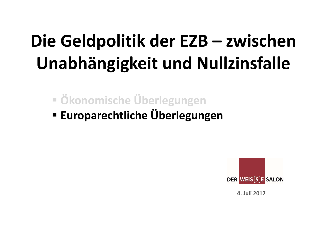# **Die Geldpolitik der EZB – zwischen Unabhängigkeit und Nullzinsfalle**

- **Ökonomische Überlegungen**
- e Furonarechtliche Uherlegun **Europarechtliche Überlegungen**



**4. Juli 2017**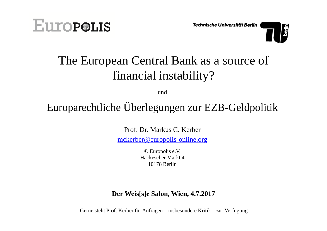



## The European Central Bank as a source offinancial instability?

und

### Europarechtliche Überlegungen zur EZB-Geldpolitik

Prof. Dr. Markus C. Kerber

mckerber@europolis-online.org

© Europolis e.V.Hackescher Markt 410178 Berlin

### **Der Weis[s]e Salon, Wien, 4.7.2017**

Gerne steht Prof. Kerber für Anfragen – insbesondere Kritik – zur Verfügung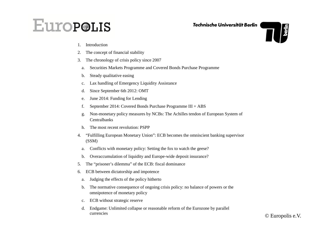## **EuropoLIS**

Technische Universität Berlin

- 1.Introduction
- 2.The concept of financial stability
- 3. The chronology of crisis policy since 2007
	- a.Securities Markets Programme and Covered Bonds Purchase Programme
	- b.Steady qualitative easing
	- c.Lax handling of Emergency Liquidity Assistance
	- d.Since September 6th 2012: OMT
	- e.June 2014: Funding for Lending
	- f.September 2014: Covered Bonds Purchase Programme III + ABS
	- g. Non-monetary policy measures by NCBs: The Achilles tendon of European System of **Centralbanks**
	- h.The most recent revolution: PSPP
- 4. "Fulfilling European Monetary Union": ECB becomes the omniscient banking supervisor (SSM)
	- a.Conflicts with monetary policy: Setting the fox to watch the geese?
	- b.Overaccumulation of liquidity and Europe-wide deposit insurance?
- 5.The "prisoner's dilemma" of the ECB: fiscal dominance
- 6. ECB between dictatorship and impotence
	- a.Judging the effects of the policy hitherto
	- b. The normative consequence of ongoing crisis policy: no balance of powers or the omnipotence of monetary policy
	- c.ECB without strategic reserve
	- d. Endgame: Unlimited collapse or reasonable reform of the Eurozone by parallel currencies

 $\frac{1}{2}$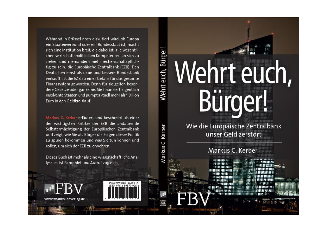Während in Brüssel noch diskutiert wird, ob Europa ein Staatenverbund oder ein Bundesstaat ist, macht sich eine Institution breit, die dabei ist, alle wesentlichen wirtschaftspolitischen Kompetenzen an sich zu ziehen und niemandem mehr rechenschaftspflichtig zu sein: die Europäische Zentralbank (EZB). Den Deutschen einst als neue und bessere Bundesbank verkauft, ist die EZB zu einer Gefahr für das gesamte Finanzsystem geworden. Denn für sie gelten besondere Gesetze oder gar keine. Sie finanziert eigentlich insolvente Staaten und pumpt aktuell mehr als 1 Billion Furo in den Geldkreislauf.

Markus C. Kerber erläutert und beschreibt als einer der wichtigsten Kritiker der EZB die andauernde Selbstermächtigung der Europäischen Zentralbank und zeigt, wie Sie als Bürger die Folgen dieser Politik zu spüren bekommen und was Sie tun können und sollen, um sich der EZB zu erwehren.

Dieses Buch ist mehr als eine wissenschaftliche Analyse, es ist Pamphlet und Aufruf zugleich.

# Wehrt euch, Bürger! Wehrt euch, Bürger!

Wie die Europäische Zentralbank unser Geld zerstört

#### Markus C. Kerber



Markus C. Kerber

www.finanzbuchverlag.de